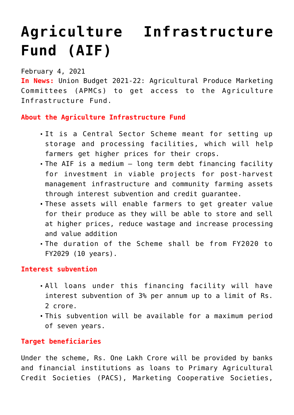# **[Agriculture Infrastructure](https://journalsofindia.com/agriculture-infrastructure-fund-aif/) [Fund \(AIF\)](https://journalsofindia.com/agriculture-infrastructure-fund-aif/)**

## February 4, 2021

**In News:** Union Budget 2021-22: Agricultural Produce Marketing Committees (APMCs) to get access to the Agriculture Infrastructure Fund.

# **About the Agriculture Infrastructure Fund**

- It is a Central Sector Scheme meant for setting up storage and processing facilities, which will help farmers get higher prices for their crops.
- The AIF is a medium long term debt financing facility for investment in viable projects for post-harvest management infrastructure and community farming assets through interest subvention and credit guarantee.
- These assets will enable farmers to get greater value for their produce as they will be able to store and sell at higher prices, reduce wastage and increase processing and value addition
- The duration of the Scheme shall be from FY2020 to FY2029 (10 years).

## **Interest subvention**

- All loans under this financing facility will have interest subvention of 3% per annum up to a limit of Rs. 2 crore.
- This subvention will be available for a maximum period of seven years.

# **Target beneficiaries**

Under the scheme, Rs. One Lakh Crore will be provided by banks and financial institutions as loans to Primary Agricultural Credit Societies (PACS), Marketing Cooperative Societies,